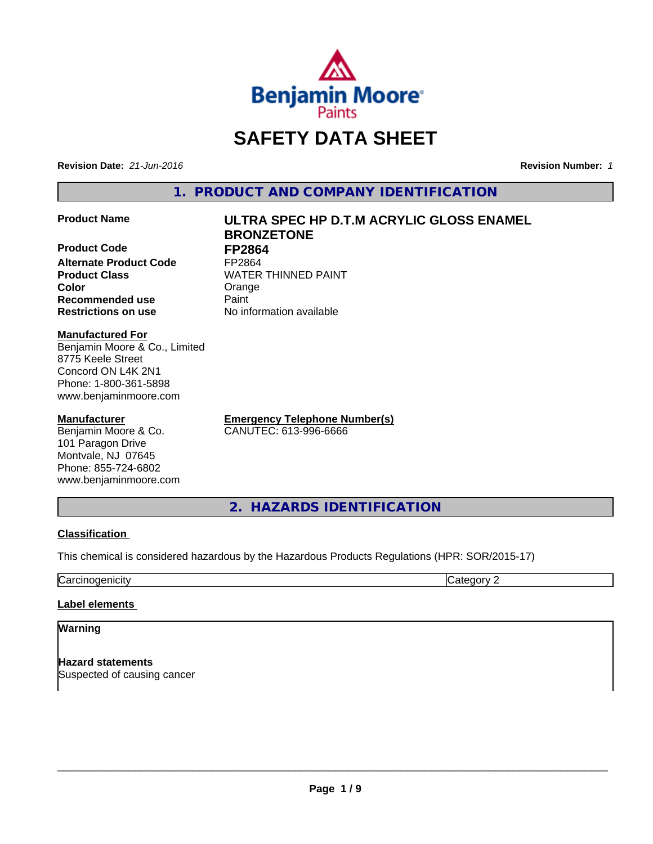

# **SAFETY DATA SHEET**

**Revision Date:** *21-Jun-2016* **Revision Number:** *1*

**1. PRODUCT AND COMPANY IDENTIFICATION**

**Product Code FP2864 Alternate Product Code FP2864**<br>**Product Class FRICH READ Color** Color Color Crange Color **Recommended use** Paint

#### **Manufactured For**

Benjamin Moore & Co., Limited 8775 Keele Street Concord ON L4K 2N1 Phone: 1-800-361-5898 www.benjaminmoore.com

#### **Manufacturer**

Benjamin Moore & Co. 101 Paragon Drive Montvale, NJ 07645 Phone: 855-724-6802 www.benjaminmoore.com

**Product Name ULTRA SPEC HP D.T.M ACRYLIC GLOSS ENAMEL BRONZETONE**

**WATER THINNED PAINT Restrictions on use** No information available

> **Emergency Telephone Number(s)** CANUTEC: 613-996-6666

**2. HAZARDS IDENTIFICATION**

#### **Classification**

This chemical is considered hazardous by the Hazardous Products Regulations (HPR: SOR/2015-17)

Carcinogenicity **Category 2** 

#### **Label elements**

### **Warning**

**Hazard statements** Suspected of causing cancer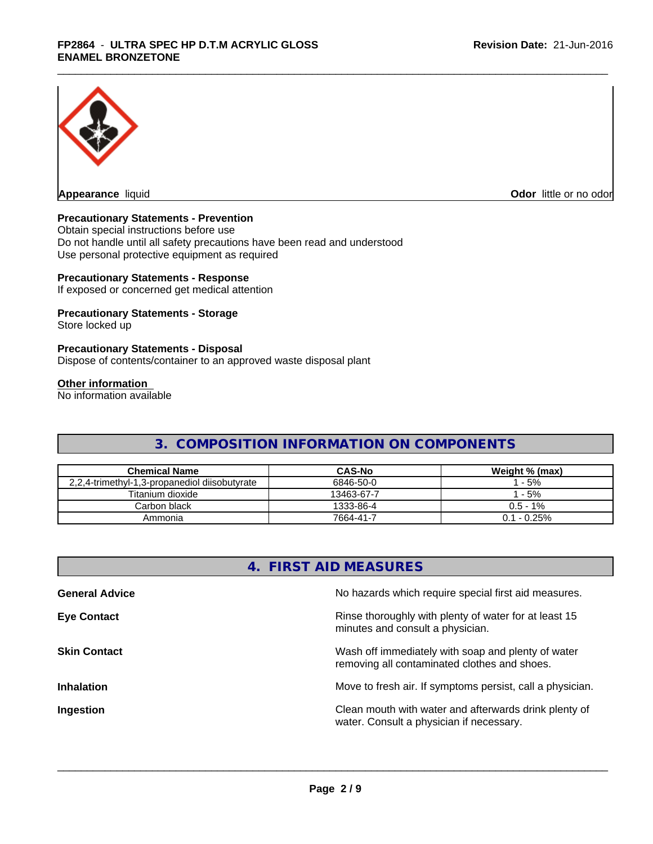

**Appearance** liquid **Contract Contract Contract Contract Contract Contract Contract Contract Contract Contract Contract Contract Contract Contract Contract Contract Contract Contract Contract Contract Contract Contract Con** 

# **Precautionary Statements - Prevention**

Obtain special instructions before use Do not handle until all safety precautions have been read and understood Use personal protective equipment as required

#### **Precautionary Statements - Response**

If exposed or concerned get medical attention

# **Precautionary Statements - Storage**

Store locked up

#### **Precautionary Statements - Disposal**

Dispose of contents/container to an approved waste disposal plant

### **Other information**

No information available

# **3. COMPOSITION INFORMATION ON COMPONENTS**

| <b>Chemical Name</b>                          | <b>CAS-No</b> | Weight % (max) |
|-----------------------------------------------|---------------|----------------|
| 2,2,4-trimethyl-1,3-propanediol diisobutyrate | 6846-50-0     | $-5%$          |
| Titanium dioxide                              | 13463-67-7    | $-5%$          |
| Carbon black                                  | 1333-86-4     | $0.5$ - 1%     |
| Ammonia                                       | 7664-41-7     | $0.1 - 0.25\%$ |

| 4. FIRST AID MEASURES                                                                              |
|----------------------------------------------------------------------------------------------------|
| No hazards which require special first aid measures.                                               |
| Rinse thoroughly with plenty of water for at least 15<br>minutes and consult a physician.          |
| Wash off immediately with soap and plenty of water<br>removing all contaminated clothes and shoes. |
| Move to fresh air. If symptoms persist, call a physician.                                          |
| Clean mouth with water and afterwards drink plenty of<br>water. Consult a physician if necessary.  |
|                                                                                                    |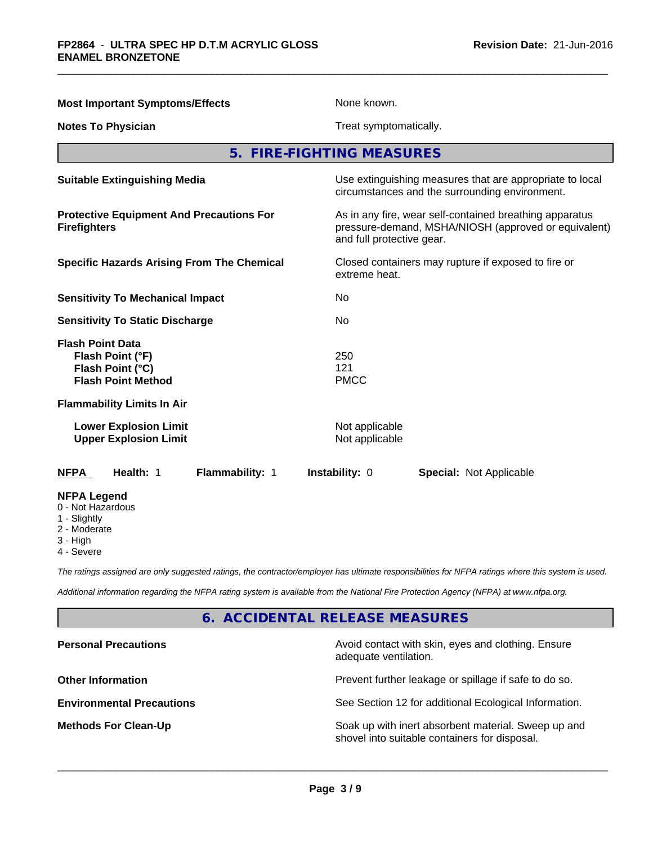| <b>Most Important Symptoms/Effects</b>                                                            | None known.                                                                                                                                        |  |
|---------------------------------------------------------------------------------------------------|----------------------------------------------------------------------------------------------------------------------------------------------------|--|
| <b>Notes To Physician</b>                                                                         | Treat symptomatically.                                                                                                                             |  |
|                                                                                                   | 5. FIRE-FIGHTING MEASURES                                                                                                                          |  |
| <b>Suitable Extinguishing Media</b>                                                               | Use extinguishing measures that are appropriate to local<br>circumstances and the surrounding environment.                                         |  |
| <b>Protective Equipment And Precautions For</b><br><b>Firefighters</b>                            | As in any fire, wear self-contained breathing apparatus<br>pressure-demand, MSHA/NIOSH (approved or equivalent)<br>and full protective gear.       |  |
| <b>Specific Hazards Arising From The Chemical</b>                                                 | Closed containers may rupture if exposed to fire or<br>extreme heat.                                                                               |  |
| <b>Sensitivity To Mechanical Impact</b>                                                           | No                                                                                                                                                 |  |
| <b>Sensitivity To Static Discharge</b>                                                            | No.                                                                                                                                                |  |
| <b>Flash Point Data</b><br>Flash Point (°F)<br>Flash Point (°C)<br><b>Flash Point Method</b>      | 250<br>121<br><b>PMCC</b>                                                                                                                          |  |
| <b>Flammability Limits In Air</b>                                                                 |                                                                                                                                                    |  |
| <b>Lower Explosion Limit</b><br><b>Upper Explosion Limit</b>                                      | Not applicable<br>Not applicable                                                                                                                   |  |
| Health: 1<br>Flammability: 1<br><b>NFPA</b>                                                       | <b>Instability: 0</b><br><b>Special: Not Applicable</b>                                                                                            |  |
| <b>NFPA Legend</b><br>0 - Not Hazardous<br>1 - Slightly<br>2 - Moderate<br>3 - High<br>4 - Severe |                                                                                                                                                    |  |
|                                                                                                   | The ratings assigned are only suggested ratings, the contractor/employer has ultimate responsibilities for NFPA ratings where this system is used. |  |

*Additional information regarding the NFPA rating system is available from the National Fire Protection Agency (NFPA) at www.nfpa.org.*

# **6. ACCIDENTAL RELEASE MEASURES**

| <b>Personal Precautions</b>      | Avoid contact with skin, eyes and clothing. Ensure<br>adequate ventilation.                          |
|----------------------------------|------------------------------------------------------------------------------------------------------|
| <b>Other Information</b>         | Prevent further leakage or spillage if safe to do so.                                                |
| <b>Environmental Precautions</b> | See Section 12 for additional Ecological Information.                                                |
| <b>Methods For Clean-Up</b>      | Soak up with inert absorbent material. Sweep up and<br>shovel into suitable containers for disposal. |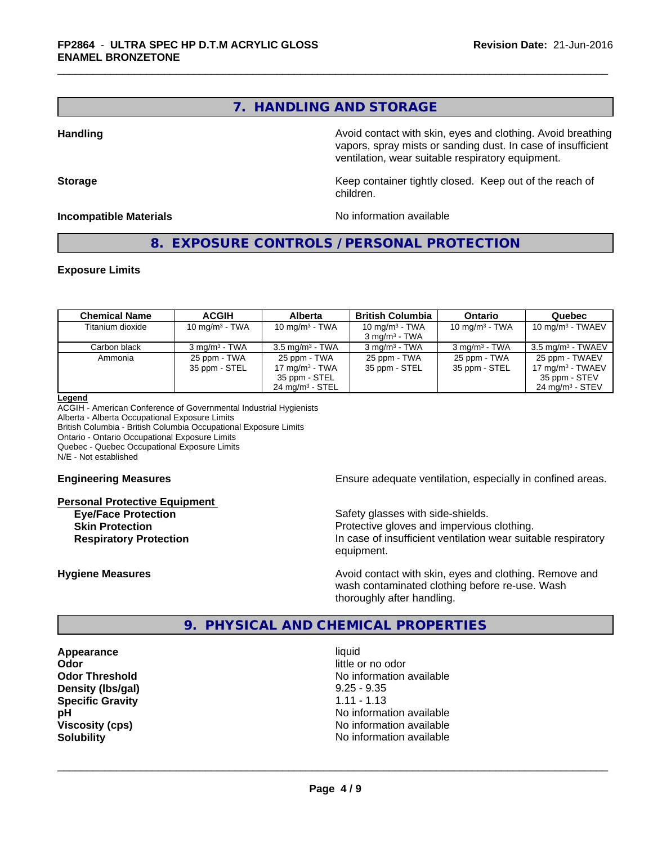# **7. HANDLING AND STORAGE**

**Handling Handling Avoid contact with skin, eyes and clothing. Avoid breathing Handling Avoid breathing** vapors, spray mists or sanding dust. In case of insufficient ventilation, wear suitable respiratory equipment.

**Storage** Storage **Keep container tightly closed.** Keep out of the reach of children.

**Incompatible Materials Incompatible Materials No information available** 

**8. EXPOSURE CONTROLS / PERSONAL PROTECTION**

#### **Exposure Limits**

| <b>Chemical Name</b> | <b>ACGIH</b>                  | <b>Alberta</b>                                                                   | <b>British Columbia</b>                       | <b>Ontario</b>                | Quebec                                                                                         |
|----------------------|-------------------------------|----------------------------------------------------------------------------------|-----------------------------------------------|-------------------------------|------------------------------------------------------------------------------------------------|
| Titanium dioxide     | 10 mg/m $3$ - TWA             | 10 mg/m $3$ - TWA                                                                | 10 mg/m $3$ - TWA<br>$3 \text{ ma/m}^3$ - TWA | 10 mg/m $3$ - TWA             | 10 mg/m $3$ - TWAEV                                                                            |
| Carbon black         | $3 \text{ mg/m}^3$ - TWA      | $3.5 \text{ mg/m}^3$ - TWA                                                       | $3 \text{ ma/m}^3$ - TWA                      | $3 \text{ mg/m}^3$ - TWA      | $3.5 \text{ ma/m}^3$ - TWAEV                                                                   |
| Ammonia              | 25 ppm - TWA<br>35 ppm - STEL | 25 ppm - TWA<br>17 mg/m $3$ - TWA<br>35 ppm - STEL<br>$24 \text{ mg/m}^3$ - STEL | 25 ppm - TWA<br>35 ppm - STEL                 | 25 ppm - TWA<br>35 ppm - STEL | 25 ppm - TWAEV<br>17 mg/m <sup>3</sup> - TWAEV<br>35 ppm - STEV<br>24 mg/m <sup>3</sup> - STEV |

#### **Legend**

ACGIH - American Conference of Governmental Industrial Hygienists Alberta - Alberta Occupational Exposure Limits British Columbia - British Columbia Occupational Exposure Limits

Ontario - Ontario Occupational Exposure Limits

Quebec - Quebec Occupational Exposure Limits

N/E - Not established

#### **Personal Protective Equipment**

**Engineering Measures Ensure adequate ventilation, especially in confined areas.** 

**Eye/Face Protection** Safety glasses with side-shields. **Skin Protection Protection Protective gloves and impervious clothing. Respiratory Protection In case of insufficient ventilation wear suitable respiratory** equipment.

**Hygiene Measures Avoid contact with skin, eyes and clothing. Remove and Hygiene Measures** and clothing. Remove and wash contaminated clothing before re-use. Wash thoroughly after handling.

# **9. PHYSICAL AND CHEMICAL PROPERTIES**

**Appearance** liquid **Odor** little or no odor **Density (Ibs/gal)** 9.25 - 9.35 **Specific Gravity** 1.11 - 1.13

**Odor Threshold No information available No information available pH** No information available **Viscosity (cps)** No information available **Solubility** No information available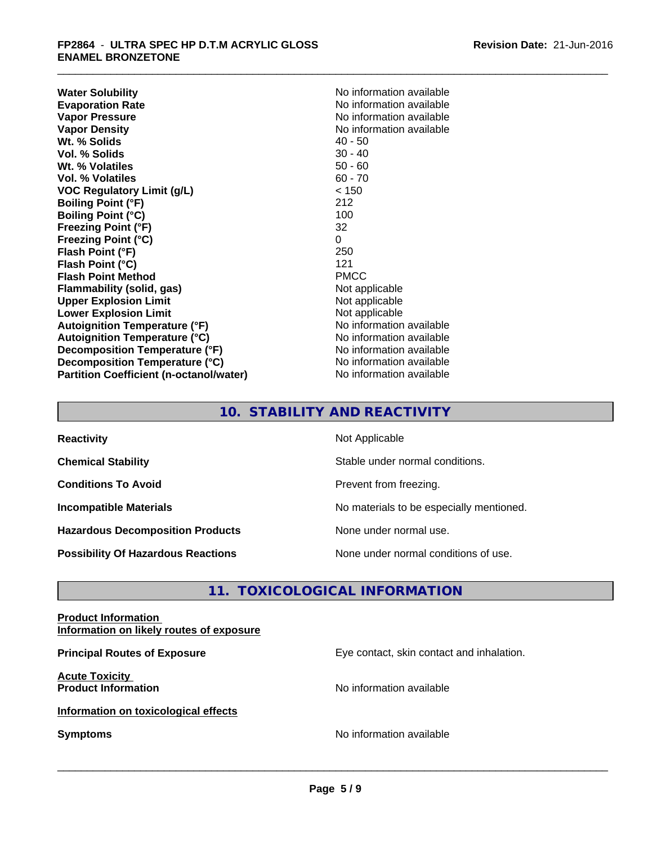**Water Solubility**<br> **Evaporation Rate**<br> **Evaporation Rate**<br> **Evaporation Rate Evaporation Rate No information available**<br> **Vapor Pressure No information available**<br>
No information available **Vapor Density**<br> **We Solids**<br>
We Solids
2019<br>
We Note that the Solid A0 - 50 **Wt. % Solids** 40 - 50<br> **Vol. % Solids** 30 - 40 **Vol. % Solids Wt. % Volatiles** 50 - 60 **Vol. % Volatiles** 60 - 70 **VOC Regulatory Limit (g/L)** < 150 **Boiling Point (°F)** 212 **Boiling Point (°C)** 100 **Freezing Point (°F)** 32 **Freezing Point (°C)** 0 **Flash Point (°F) Flash Point (°C)** 121 **Flash Point Method** PMCC **Flammability (solid, gas)** Not applicable **Upper Explosion Limit** Not applicable **Lower Explosion Limit**<br> **Autoignition Temperature (°F)**<br> **Autoignition Temperature (°F)**<br> **Autoignition Temperature (°F) Autoignition Temperature (°F) Autoignition Temperature (°C)** No information available **Decomposition Temperature (°F)** No information available **Decomposition Temperature (°C)** No information available **Partition Coefficient (n-octanol/water)** No information available

**No information available** 

# **10. STABILITY AND REACTIVITY**

| <b>Reactivity</b>                         | Not Applicable                           |
|-------------------------------------------|------------------------------------------|
| <b>Chemical Stability</b>                 | Stable under normal conditions.          |
| <b>Conditions To Avoid</b>                | Prevent from freezing.                   |
| <b>Incompatible Materials</b>             | No materials to be especially mentioned. |
| <b>Hazardous Decomposition Products</b>   | None under normal use.                   |
| <b>Possibility Of Hazardous Reactions</b> | None under normal conditions of use.     |

# **11. TOXICOLOGICAL INFORMATION**

### **Product Information Information on likely routes of exposure**

**Principal Routes of Exposure Exposure** Eye contact, skin contact and inhalation. **Acute Toxicity Product Information Information No information available Information on toxicological effects Symptoms** No information available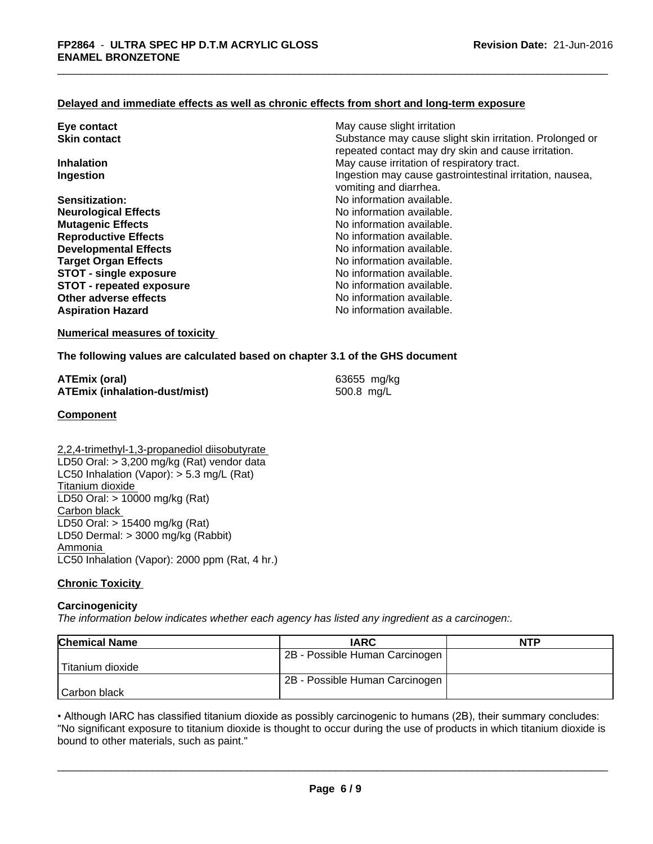#### **Delayed and immediate effects as well as chronic effects from short and long-term exposure**

| Eye contact                     | May cause slight irritation                                                                                     |  |
|---------------------------------|-----------------------------------------------------------------------------------------------------------------|--|
| <b>Skin contact</b>             | Substance may cause slight skin irritation. Prolonged or<br>repeated contact may dry skin and cause irritation. |  |
| <b>Inhalation</b>               | May cause irritation of respiratory tract.                                                                      |  |
| Ingestion                       | Ingestion may cause gastrointestinal irritation, nausea,<br>vomiting and diarrhea.                              |  |
| Sensitization:                  | No information available.                                                                                       |  |
| <b>Neurological Effects</b>     | No information available.                                                                                       |  |
| <b>Mutagenic Effects</b>        | No information available.                                                                                       |  |
| <b>Reproductive Effects</b>     | No information available.                                                                                       |  |
| <b>Developmental Effects</b>    | No information available.                                                                                       |  |
| <b>Target Organ Effects</b>     | No information available.                                                                                       |  |
| <b>STOT - single exposure</b>   | No information available.                                                                                       |  |
| <b>STOT - repeated exposure</b> | No information available.                                                                                       |  |
| Other adverse effects           | No information available.                                                                                       |  |
| <b>Aspiration Hazard</b>        | No information available.                                                                                       |  |
|                                 |                                                                                                                 |  |

# **Numerical measures of toxicity**

#### **The following values are calculated based on chapter 3.1 of the GHS document**

| ATEmix (oral)                        | 63655 mg/kg |
|--------------------------------------|-------------|
| <b>ATEmix (inhalation-dust/mist)</b> | 500.8 mg/L  |

#### **Component**

2,2,4-trimethyl-1,3-propanediol diisobutyrate LD50 Oral: > 3,200 mg/kg (Rat) vendor data LC50 Inhalation (Vapor): > 5.3 mg/L (Rat) Titanium dioxide LD50 Oral: > 10000 mg/kg (Rat) Carbon black LD50 Oral: > 15400 mg/kg (Rat) LD50 Dermal: > 3000 mg/kg (Rabbit) Ammonia LC50 Inhalation (Vapor): 2000 ppm (Rat, 4 hr.)

#### **Chronic Toxicity**

#### **Carcinogenicity**

*The information below indicateswhether each agency has listed any ingredient as a carcinogen:.*

| <b>Chemical Name</b> | <b>IARC</b>                    | <b>NTP</b> |
|----------------------|--------------------------------|------------|
|                      | 2B - Possible Human Carcinogen |            |
| Titanium dioxide     |                                |            |
|                      | 2B - Possible Human Carcinogen |            |
| l Carbon black       |                                |            |

• Although IARC has classified titanium dioxide as possibly carcinogenic to humans (2B), their summary concludes:<br>"No significant exposure to titanium dioxide is thought to occur during the use of products in which titaniu "No significant exposure to titanium dioxide is thought to occur during the use of products in which titanium dioxide is bound to other materials, such as paint."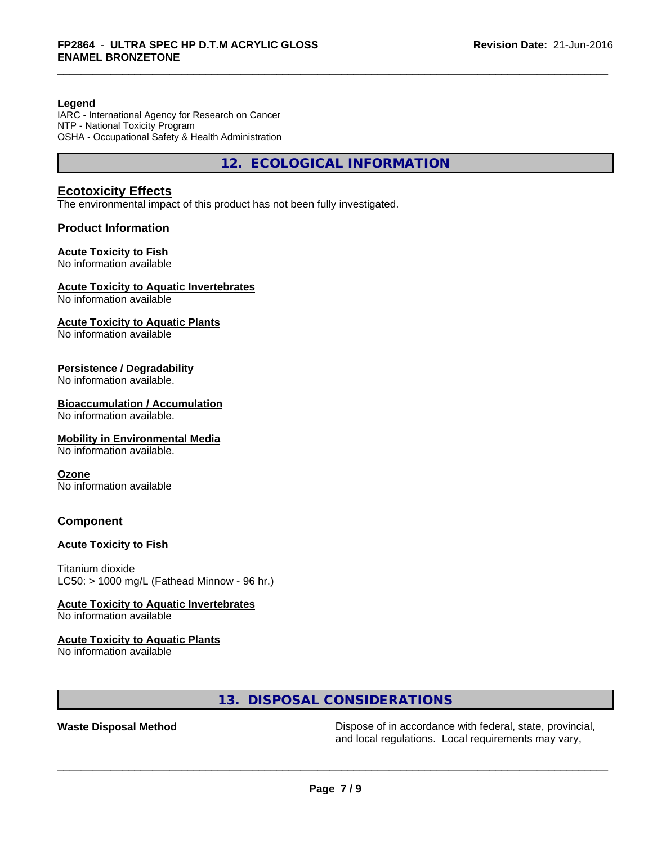#### **Legend**

IARC - International Agency for Research on Cancer NTP - National Toxicity Program OSHA - Occupational Safety & Health Administration

**12. ECOLOGICAL INFORMATION**

# **Ecotoxicity Effects**

The environmental impact of this product has not been fully investigated.

#### **Product Information**

#### **Acute Toxicity to Fish**

No information available

### **Acute Toxicity to Aquatic Invertebrates**

No information available

#### **Acute Toxicity to Aquatic Plants**

No information available

### **Persistence / Degradability**

No information available.

### **Bioaccumulation / Accumulation**

No information available.

#### **Mobility in Environmental Media**

No information available.

#### **Ozone**

No information available

# **Component**

#### **Acute Toxicity to Fish**

Titanium dioxide  $LC50:$  > 1000 mg/L (Fathead Minnow - 96 hr.)

#### **Acute Toxicity to Aquatic Invertebrates**

No information available

#### **Acute Toxicity to Aquatic Plants**

No information available

# **13. DISPOSAL CONSIDERATIONS**

Waste Disposal Method **Dispose of in accordance with federal, state, provincial,** and local regulations. Local requirements may vary,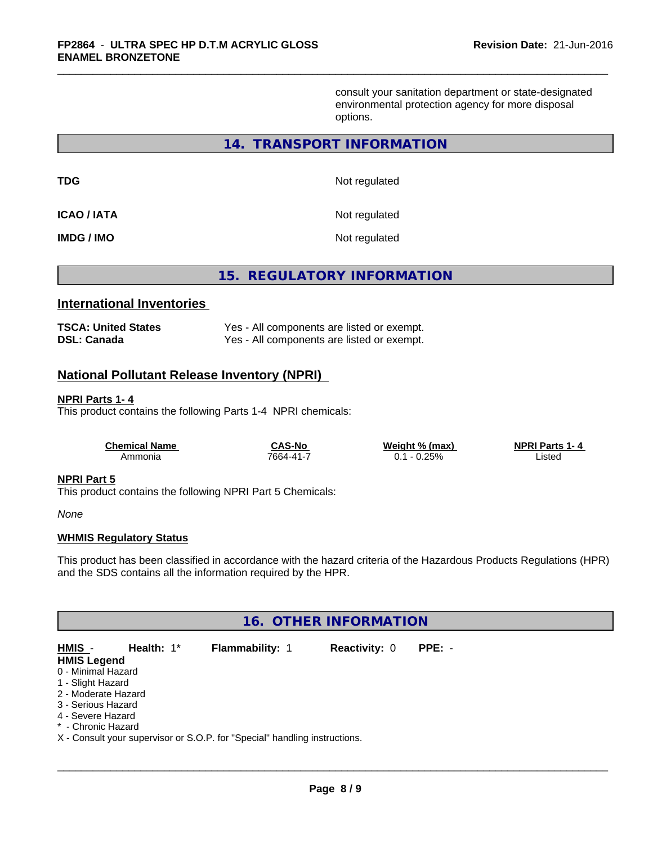consult your sanitation department or state-designated environmental protection agency for more disposal options.

# **14. TRANSPORT INFORMATION**

| TDG               | Not regulated |
|-------------------|---------------|
| ICAO / IATA       | Not regulated |
| <b>IMDG / IMO</b> | Not regulated |

**15. REGULATORY INFORMATION**

### **International Inventories**

| <b>TSCA: United States</b> | Yes - All components are listed or exempt. |
|----------------------------|--------------------------------------------|
| DSL: Canada                | Yes - All components are listed or exempt. |

# **National Pollutant Release Inventory (NPRI)**

#### **NPRI Parts 1- 4**

This product contains the following Parts 1-4 NPRI chemicals:

| <b>Chemical Name</b> | <b>CAS-No</b> | Weight % (max)      | <b>NPRI Parts 1-4</b> |
|----------------------|---------------|---------------------|-----------------------|
| Ammonia              | 7664-41-7     | 0.25%<br>0.1<br>- 0 | Listed                |

# **NPRI Part 5**

This product contains the following NPRI Part 5 Chemicals:

*None*

#### **WHMIS Regulatory Status**

This product has been classified in accordance with the hazard criteria of the Hazardous Products Regulations (HPR) and the SDS contains all the information required by the HPR.

# **16. OTHER INFORMATION**

| HMIS -              | Health: $1^*$ | <b>Flammability: 1</b>                                                     | <b>Reactivity: 0</b> | $PPE: -$ |  |
|---------------------|---------------|----------------------------------------------------------------------------|----------------------|----------|--|
| <b>HMIS Legend</b>  |               |                                                                            |                      |          |  |
| 0 - Minimal Hazard  |               |                                                                            |                      |          |  |
| 1 - Slight Hazard   |               |                                                                            |                      |          |  |
| 2 - Moderate Hazard |               |                                                                            |                      |          |  |
| 3 - Serious Hazard  |               |                                                                            |                      |          |  |
| 4 - Severe Hazard   |               |                                                                            |                      |          |  |
| * - Chronic Hazard  |               |                                                                            |                      |          |  |
|                     |               | X - Consult your supervisor or S.O.P. for "Special" handling instructions. |                      |          |  |